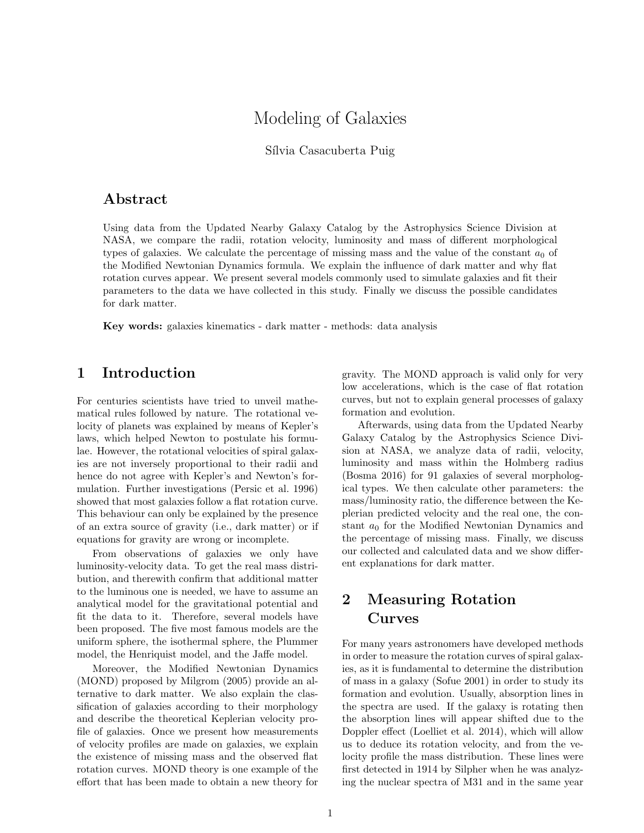# Modeling of Galaxies

Sílvia Casacuberta Puig

### Abstract

Using data from the Updated Nearby Galaxy Catalog by the Astrophysics Science Division at NASA, we compare the radii, rotation velocity, luminosity and mass of different morphological types of galaxies. We calculate the percentage of missing mass and the value of the constant  $a_0$  of the Modified Newtonian Dynamics formula. We explain the influence of dark matter and why flat rotation curves appear. We present several models commonly used to simulate galaxies and fit their parameters to the data we have collected in this study. Finally we discuss the possible candidates for dark matter.

Key words: galaxies kinematics - dark matter - methods: data analysis

### 1 Introduction

For centuries scientists have tried to unveil mathematical rules followed by nature. The rotational velocity of planets was explained by means of Kepler's laws, which helped Newton to postulate his formulae. However, the rotational velocities of spiral galaxies are not inversely proportional to their radii and hence do not agree with Kepler's and Newton's formulation. Further investigations (Persic et al. 1996) showed that most galaxies follow a flat rotation curve. This behaviour can only be explained by the presence of an extra source of gravity (i.e., dark matter) or if equations for gravity are wrong or incomplete.

From observations of galaxies we only have luminosity-velocity data. To get the real mass distribution, and therewith confirm that additional matter to the luminous one is needed, we have to assume an analytical model for the gravitational potential and fit the data to it. Therefore, several models have been proposed. The five most famous models are the uniform sphere, the isothermal sphere, the Plummer model, the Henriquist model, and the Jaffe model.

Moreover, the Modified Newtonian Dynamics (MOND) proposed by Milgrom (2005) provide an alternative to dark matter. We also explain the classification of galaxies according to their morphology and describe the theoretical Keplerian velocity profile of galaxies. Once we present how measurements of velocity profiles are made on galaxies, we explain the existence of missing mass and the observed flat rotation curves. MOND theory is one example of the effort that has been made to obtain a new theory for gravity. The MOND approach is valid only for very low accelerations, which is the case of flat rotation curves, but not to explain general processes of galaxy formation and evolution.

Afterwards, using data from the Updated Nearby Galaxy Catalog by the Astrophysics Science Division at NASA, we analyze data of radii, velocity, luminosity and mass within the Holmberg radius (Bosma 2016) for 91 galaxies of several morphological types. We then calculate other parameters: the mass/luminosity ratio, the difference between the Keplerian predicted velocity and the real one, the constant  $a_0$  for the Modified Newtonian Dynamics and the percentage of missing mass. Finally, we discuss our collected and calculated data and we show different explanations for dark matter.

## 2 Measuring Rotation Curves

For many years astronomers have developed methods in order to measure the rotation curves of spiral galaxies, as it is fundamental to determine the distribution of mass in a galaxy (Sofue 2001) in order to study its formation and evolution. Usually, absorption lines in the spectra are used. If the galaxy is rotating then the absorption lines will appear shifted due to the Doppler effect (Loelliet et al. 2014), which will allow us to deduce its rotation velocity, and from the velocity profile the mass distribution. These lines were first detected in 1914 by Silpher when he was analyzing the nuclear spectra of M31 and in the same year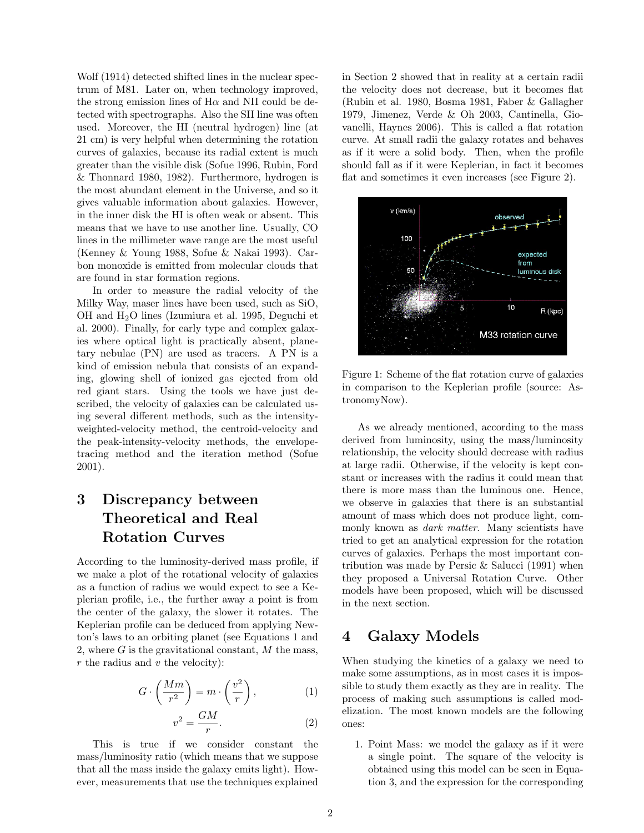Wolf (1914) detected shifted lines in the nuclear spectrum of M81. Later on, when technology improved, the strong emission lines of  $H\alpha$  and NII could be detected with spectrographs. Also the SII line was often used. Moreover, the HI (neutral hydrogen) line (at 21 cm) is very helpful when determining the rotation curves of galaxies, because its radial extent is much greater than the visible disk (Sofue 1996, Rubin, Ford & Thonnard 1980, 1982). Furthermore, hydrogen is the most abundant element in the Universe, and so it gives valuable information about galaxies. However, in the inner disk the HI is often weak or absent. This means that we have to use another line. Usually, CO lines in the millimeter wave range are the most useful (Kenney & Young 1988, Sofue & Nakai 1993). Carbon monoxide is emitted from molecular clouds that are found in star formation regions.

In order to measure the radial velocity of the Milky Way, maser lines have been used, such as SiO, OH and  $H_2O$  lines (Izumiura et al. 1995, Deguchi et al. 2000). Finally, for early type and complex galaxies where optical light is practically absent, planetary nebulae (PN) are used as tracers. A PN is a kind of emission nebula that consists of an expanding, glowing shell of ionized gas ejected from old red giant stars. Using the tools we have just described, the velocity of galaxies can be calculated using several different methods, such as the intensityweighted-velocity method, the centroid-velocity and the peak-intensity-velocity methods, the envelopetracing method and the iteration method (Sofue 2001).

## 3 Discrepancy between Theoretical and Real Rotation Curves

According to the luminosity-derived mass profile, if we make a plot of the rotational velocity of galaxies as a function of radius we would expect to see a Keplerian profile, i.e., the further away a point is from the center of the galaxy, the slower it rotates. The Keplerian profile can be deduced from applying Newton's laws to an orbiting planet (see Equations 1 and 2, where  $G$  is the gravitational constant,  $M$  the mass,  $r$  the radius and  $v$  the velocity):

$$
G \cdot \left(\frac{Mm}{r^2}\right) = m \cdot \left(\frac{v^2}{r}\right),\tag{1}
$$

$$
v^2 = \frac{GM}{r}.\tag{2}
$$

This is true if we consider constant the mass/luminosity ratio (which means that we suppose that all the mass inside the galaxy emits light). However, measurements that use the techniques explained in Section 2 showed that in reality at a certain radii the velocity does not decrease, but it becomes flat (Rubin et al. 1980, Bosma 1981, Faber & Gallagher 1979, Jimenez, Verde & Oh 2003, Cantinella, Giovanelli, Haynes 2006). This is called a flat rotation curve. At small radii the galaxy rotates and behaves as if it were a solid body. Then, when the profile should fall as if it were Keplerian, in fact it becomes flat and sometimes it even increases (see Figure 2).



Figure 1: Scheme of the flat rotation curve of galaxies in comparison to the Keplerian profile (source: AstronomyNow).

As we already mentioned, according to the mass derived from luminosity, using the mass/luminosity relationship, the velocity should decrease with radius at large radii. Otherwise, if the velocity is kept constant or increases with the radius it could mean that there is more mass than the luminous one. Hence, we observe in galaxies that there is an substantial amount of mass which does not produce light, commonly known as *dark matter*. Many scientists have tried to get an analytical expression for the rotation curves of galaxies. Perhaps the most important contribution was made by Persic & Salucci (1991) when they proposed a Universal Rotation Curve. Other models have been proposed, which will be discussed in the next section.

### 4 Galaxy Models

When studying the kinetics of a galaxy we need to make some assumptions, as in most cases it is impossible to study them exactly as they are in reality. The process of making such assumptions is called modelization. The most known models are the following ones:

1. Point Mass: we model the galaxy as if it were a single point. The square of the velocity is obtained using this model can be seen in Equation 3, and the expression for the corresponding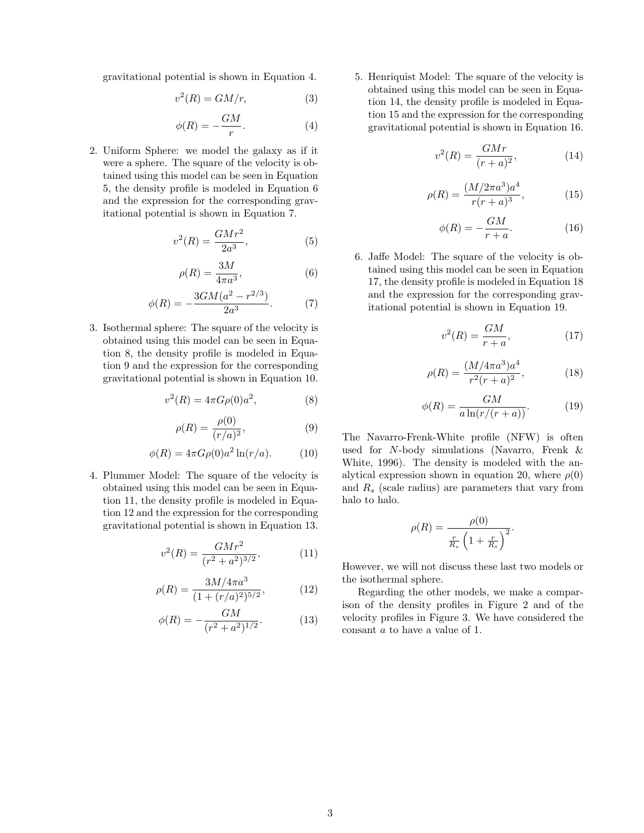gravitational potential is shown in Equation 4.

$$
v^2(R) = GM/r,\tag{3}
$$

$$
\phi(R) = -\frac{GM}{r}.\tag{4}
$$

2. Uniform Sphere: we model the galaxy as if it were a sphere. The square of the velocity is obtained using this model can be seen in Equation 5, the density profile is modeled in Equation 6 and the expression for the corresponding gravitational potential is shown in Equation 7.

$$
v^2(R) = \frac{GMr^2}{2a^3},\tag{5}
$$

$$
\rho(R) = \frac{3M}{4\pi a^3},\tag{6}
$$

$$
\phi(R) = -\frac{3GM(a^2 - r^{2/3})}{2a^3}.
$$
 (7)

3. Isothermal sphere: The square of the velocity is obtained using this model can be seen in Equation 8, the density profile is modeled in Equation 9 and the expression for the corresponding gravitational potential is shown in Equation 10.

$$
v^2(R) = 4\pi G \rho(0) a^2, \tag{8}
$$

$$
\rho(R) = \frac{\rho(0)}{(r/a)^2},\tag{9}
$$

$$
\phi(R) = 4\pi G \rho(0) a^2 \ln(r/a). \tag{10}
$$

4. Plummer Model: The square of the velocity is obtained using this model can be seen in Equation 11, the density profile is modeled in Equation 12 and the expression for the corresponding gravitational potential is shown in Equation 13.

$$
v^{2}(R) = \frac{GMr^{2}}{(r^{2} + a^{2})^{3/2}},
$$
\n(11)

$$
\rho(R) = \frac{3M/4\pi a^3}{(1 + (r/a)^2)^{5/2}},\tag{12}
$$

$$
\phi(R) = -\frac{GM}{(r^2 + a^2)^{1/2}}.\tag{13}
$$

5. Henriquist Model: The square of the velocity is obtained using this model can be seen in Equation 14, the density profile is modeled in Equation 15 and the expression for the corresponding gravitational potential is shown in Equation 16.

$$
v^2(R) = \frac{GMr}{(r+a)^2},\tag{14}
$$

$$
\rho(R) = \frac{(M/2\pi a^3)a^4}{r(r+a)^3},
$$
\n(15)

$$
\phi(R) = -\frac{GM}{r+a}.\tag{16}
$$

6. Jaffe Model: The square of the velocity is obtained using this model can be seen in Equation 17, the density profile is modeled in Equation 18 and the expression for the corresponding gravitational potential is shown in Equation 19.

$$
v^2(R) = \frac{GM}{r+a},\tag{17}
$$

$$
\rho(R) = \frac{(M/4\pi a^3)a^4}{r^2(r+a)^2},\tag{18}
$$

$$
\phi(R) = \frac{GM}{a\ln(r/(r+a))}.\tag{19}
$$

The Navarro-Frenk-White profile (NFW) is often used for N-body simulations (Navarro, Frenk & White, 1996). The density is modeled with the analytical expression shown in equation 20, where  $\rho(0)$ and  $R_s$  (scale radius) are parameters that vary from halo to halo.

$$
\rho(R) = \frac{\rho(0)}{\frac{r}{R_s} \left(1 + \frac{r}{R_s}\right)^2}.
$$

However, we will not discuss these last two models or the isothermal sphere.

Regarding the other models, we make a comparison of the density profiles in Figure 2 and of the velocity profiles in Figure 3. We have considered the consant a to have a value of 1.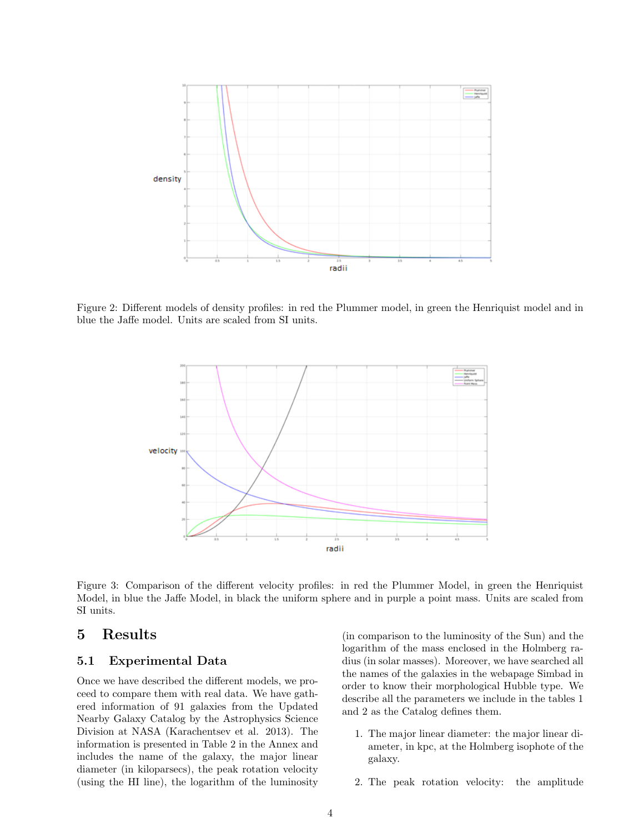

Figure 2: Different models of density profiles: in red the Plummer model, in green the Henriquist model and in blue the Jaffe model. Units are scaled from SI units.



Figure 3: Comparison of the different velocity profiles: in red the Plummer Model, in green the Henriquist Model, in blue the Jaffe Model, in black the uniform sphere and in purple a point mass. Units are scaled from SI units.

### 5 Results

#### 5.1 Experimental Data

Once we have described the different models, we proceed to compare them with real data. We have gathered information of 91 galaxies from the Updated Nearby Galaxy Catalog by the Astrophysics Science Division at NASA (Karachentsev et al. 2013). The information is presented in Table 2 in the Annex and includes the name of the galaxy, the major linear diameter (in kiloparsecs), the peak rotation velocity (using the HI line), the logarithm of the luminosity

(in comparison to the luminosity of the Sun) and the logarithm of the mass enclosed in the Holmberg radius (in solar masses). Moreover, we have searched all the names of the galaxies in the webapage Simbad in order to know their morphological Hubble type. We describe all the parameters we include in the tables 1 and 2 as the Catalog defines them.

- 1. The major linear diameter: the major linear diameter, in kpc, at the Holmberg isophote of the galaxy.
- 2. The peak rotation velocity: the amplitude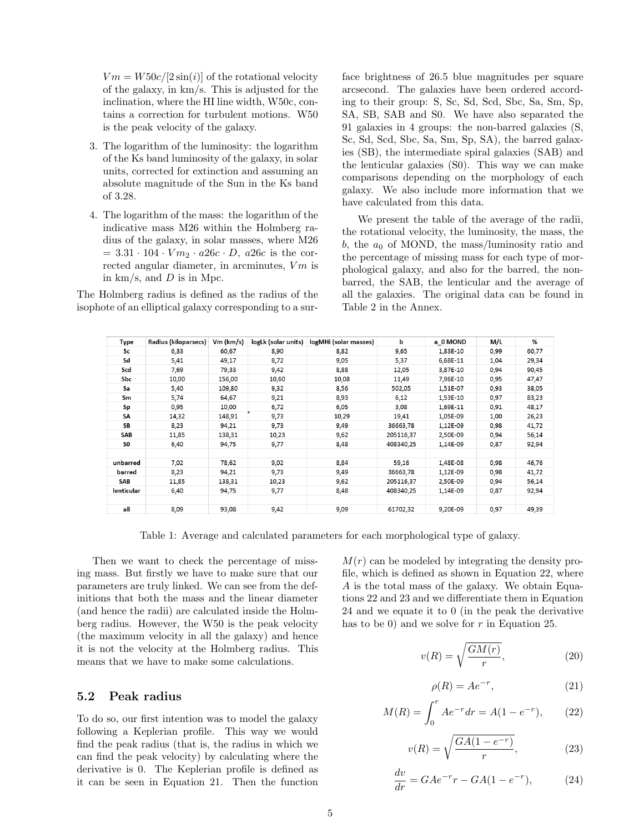$Vm = W50c/[2\sin(i)]$  of the rotational velocity of the galaxy, in km/s. This is adjusted for the inclination, where the HI line width, W50c, contains a correction for turbulent motions. W50 is the peak velocity of the galaxy.

- 3. The logarithm of the luminosity: the logarithm of the Ks band luminosity of the galaxy, in solar units, corrected for extinction and assuming an absolute magnitude of the Sun in the Ks band of 3.28.
- 4. The logarithm of the mass: the logarithm of the indicative mass M26 within the Holmberg radius of the galaxy, in solar masses, where M26  $= 3.31 \cdot 104 \cdot V m_2 \cdot a_26c \cdot D$ , a 26c is the corrected angular diameter, in arcminutes,  $Vm$  is in  $km/s$ , and  $D$  is in Mpc.

The Holmberg radius is defined as the radius of the isophote of an elliptical galaxy corresponding to a surface brightness of 26.5 blue magnitudes per square arcsecond. The galaxies have been ordered according to their group: S, Sc, Sd, Scd, Sbc, Sa, Sm, Sp, SA, SB, SAB and S0. We have also separated the 91 galaxies in 4 groups: the non-barred galaxies (S, Sc, Sd, Scd, Sbc, Sa, Sm, Sp, SA), the barred galaxies (SB), the intermediate spiral galaxies (SAB) and the lenticular galaxies (S0). This way we can make comparisons depending on the morphology of each galaxy. We also include more information that we have calculated from this data.

We present the table of the average of the radii, the rotational velocity, the luminosity, the mass, the b, the  $a_0$  of MOND, the mass/luminosity ratio and the percentage of missing mass for each type of morphological galaxy, and also for the barred, the nonbarred, the SAB, the lenticular and the average of all the galaxies. The original data can be found in Table 2 in the Annex.

| <b>Type</b>       | Radius (kiloparsecs) | $Vm$ (km/s) | logLk (solar units) | logMHi (solar masses) | b         | a 0 MOND | M/L  | %     |
|-------------------|----------------------|-------------|---------------------|-----------------------|-----------|----------|------|-------|
| Sc:               | 6,33                 | 60,67       | 8,90                | 8,82                  | 9,65      | 1,83E-10 | 0,99 | 60,77 |
| Sd                | 5,41                 | 49,17       | 8,72                | 9,05                  | 5,37      | 6,68E-11 | 1,04 | 29,34 |
| Scd               | 7,69                 | 79,33       | 9,42                | 8,88                  | 12,05     | 3,87E-10 | 0,94 | 90,45 |
| <b>Sbc</b>        | 10,00                | 156,00      | 10,60               | 10,08                 | 11,49     | 7,96E-10 | 0,95 | 47,47 |
| Sa                | 5,40                 | 109,80      | 9,32                | 8,56                  | 502,05    | 1,51E-07 | 0,93 | 38,05 |
| <b>Sm</b>         | 5,74                 | 64,67       | 9,21                | 8,93                  | 6,12      | 1,53E-10 | 0,97 | 83,23 |
| <b>Sp</b>         | 0,95                 | 10,00       | 6,72                | 6,05                  | 3,08      | 1.69E-11 | 0,91 | 48,17 |
| SΑ                | 14,32                | 148,91      | 9,73                | 10,29                 | 19,41     | 1,05E-09 | 1,00 | 26,23 |
| <b>SB</b>         | 8,23                 | 94,21       | 9,73                | 9,49                  | 36663,78  | 1,12E-09 | 0,98 | 41,72 |
| <b>SAB</b>        | 11,85                | 138,31      | 10,23               | 9,62                  | 205116,37 | 2,50E-09 | 0,94 | 56,14 |
| S <sub>0</sub>    | 6,40                 | 94,75       | 9,77                | 8,48                  | 408340,25 | 1,14E-09 | 0,87 | 92,94 |
|                   |                      |             |                     |                       |           |          |      |       |
| unbarred          | 7,02                 | 78,62       | 9,02                | 8,84                  | 59,16     | 1,48E-08 | 0,98 | 46,76 |
| barred            | 8,23                 | 94,21       | 9,73                | 9,49                  | 36663,78  | 1.12E-09 | 0,98 | 41,72 |
| <b>SAB</b>        | 11,85                | 138,31      | 10,23               | 9,62                  | 205116,37 | 2,50E-09 | 0,94 | 56,14 |
| <b>lenticular</b> | 6,40                 | 94,75       | 9,77                | 8,48                  | 408340.25 | 1.14E-09 | 0,87 | 92,94 |
|                   |                      |             |                     |                       |           |          |      |       |
| all               | 8,09                 | 93,08       | 9,42                | 9,09                  | 61702,32  | 9.20E-09 | 0,97 | 49,39 |

Table 1: Average and calculated parameters for each morphological type of galaxy.

Then we want to check the percentage of missing mass. But firstly we have to make sure that our parameters are truly linked. We can see from the definitions that both the mass and the linear diameter (and hence the radii) are calculated inside the Holmberg radius. However, the W50 is the peak velocity (the maximum velocity in all the galaxy) and hence it is not the velocity at the Holmberg radius. This means that we have to make some calculations.

#### 5.2 Peak radius

To do so, our first intention was to model the galaxy following a Keplerian profile. This way we would find the peak radius (that is, the radius in which we can find the peak velocity) by calculating where the derivative is 0. The Keplerian profile is defined as it can be seen in Equation 21. Then the function

 $M(r)$  can be modeled by integrating the density profile, which is defined as shown in Equation 22, where A is the total mass of the galaxy. We obtain Equations 22 and 23 and we differentiate them in Equation 24 and we equate it to 0 (in the peak the derivative has to be 0) and we solve for  $r$  in Equation 25.

$$
v(R) = \sqrt{\frac{GM(r)}{r}},
$$
\n(20)

$$
\rho(R) = Ae^{-r},\tag{21}
$$

$$
M(R) = \int_0^r A e^{-r} dr = A(1 - e^{-r}), \qquad (22)
$$

$$
v(R) = \sqrt{\frac{GA(1 - e^{-r})}{r}},\tag{23}
$$

$$
\frac{dv}{dr} = GAe^{-r}r - GA(1 - e^{-r}),\tag{24}
$$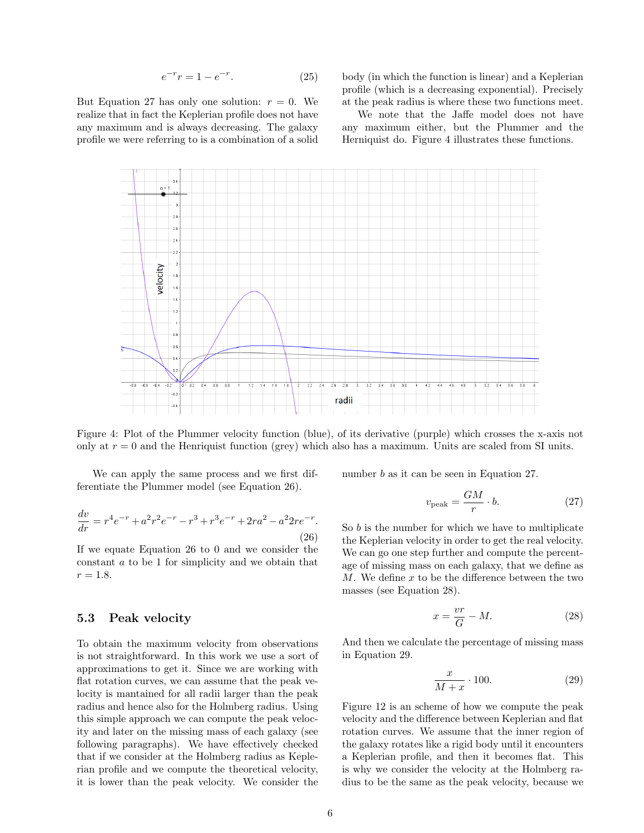$$
e^{-r}r = 1 - e^{-r}.
$$
 (25)

But Equation 27 has only one solution:  $r = 0$ . We realize that in fact the Keplerian profile does not have any maximum and is always decreasing. The galaxy profile we were referring to is a combination of a solid body (in which the function is linear) and a Keplerian profile (which is a decreasing exponential). Precisely at the peak radius is where these two functions meet.

We note that the Jaffe model does not have any maximum either, but the Plummer and the Herniquist do. Figure 4 illustrates these functions.



Figure 4: Plot of the Plummer velocity function (blue), of its derivative (purple) which crosses the x-axis not only at  $r = 0$  and the Henriquist function (grey) which also has a maximum. Units are scaled from SI units.

We can apply the same process and we first differentiate the Plummer model (see Equation 26).

$$
\frac{dv}{dr} = r^4 e^{-r} + a^2 r^2 e^{-r} - r^3 + r^3 e^{-r} + 2r a^2 - a^2 2r e^{-r}.
$$
\n(26)

If we equate Equation 26 to 0 and we consider the constant a to be 1 for simplicity and we obtain that  $r = 1.8.$ 

#### 5.3 Peak velocity

To obtain the maximum velocity from observations is not straightforward. In this work we use a sort of approximations to get it. Since we are working with flat rotation curves, we can assume that the peak velocity is mantained for all radii larger than the peak radius and hence also for the Holmberg radius. Using this simple approach we can compute the peak velocity and later on the missing mass of each galaxy (see following paragraphs). We have effectively checked that if we consider at the Holmberg radius as Keplerian profile and we compute the theoretical velocity, it is lower than the peak velocity. We consider the

number b as it can be seen in Equation 27.

$$
v_{\text{peak}} = \frac{GM}{r} \cdot b. \tag{27}
$$

So  $b$  is the number for which we have to multiplicate the Keplerian velocity in order to get the real velocity. We can go one step further and compute the percentage of missing mass on each galaxy, that we define as  $M$ . We define  $x$  to be the difference between the two masses (see Equation 28).

$$
x = \frac{vr}{G} - M.\t\t(28)
$$

And then we calculate the percentage of missing mass in Equation 29.

$$
\frac{x}{M+x} \cdot 100.\t(29)
$$

Figure 12 is an scheme of how we compute the peak velocity and the difference between Keplerian and flat rotation curves. We assume that the inner region of the galaxy rotates like a rigid body until it encounters a Keplerian profile, and then it becomes flat. This is why we consider the velocity at the Holmberg radius to be the same as the peak velocity, because we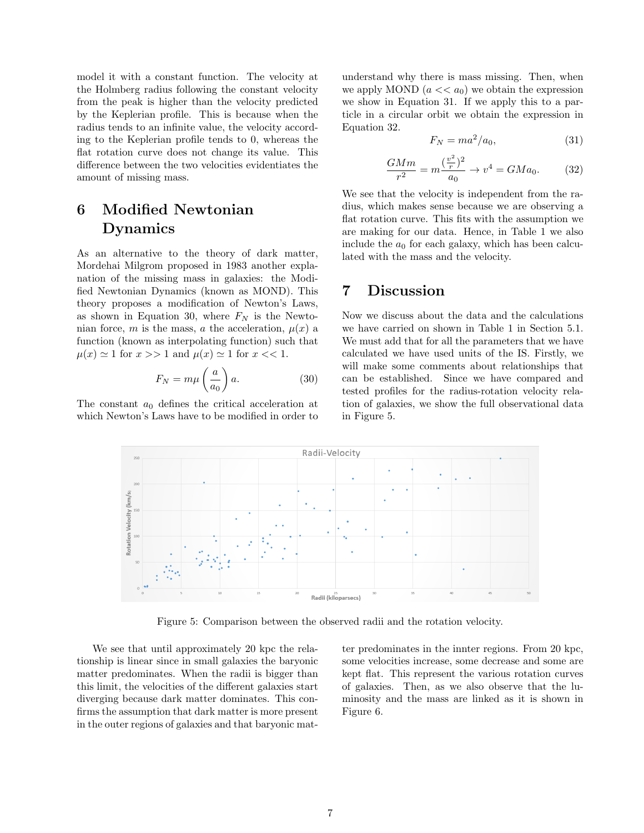model it with a constant function. The velocity at the Holmberg radius following the constant velocity from the peak is higher than the velocity predicted by the Keplerian profile. This is because when the radius tends to an infinite value, the velocity according to the Keplerian profile tends to 0, whereas the flat rotation curve does not change its value. This difference between the two velocities evidentiates the amount of missing mass.

## 6 Modified Newtonian Dynamics

As an alternative to the theory of dark matter, Mordehai Milgrom proposed in 1983 another explanation of the missing mass in galaxies: the Modified Newtonian Dynamics (known as MOND). This theory proposes a modification of Newton's Laws, as shown in Equation 30, where  $F_N$  is the Newtonian force, m is the mass, a the acceleration,  $\mu(x)$  a function (known as interpolating function) such that  $\mu(x) \simeq 1$  for  $x >> 1$  and  $\mu(x) \simeq 1$  for  $x << 1$ .

$$
F_N = m\mu \left(\frac{a}{a_0}\right) a. \tag{30}
$$

The constant  $a_0$  defines the critical acceleration at which Newton's Laws have to be modified in order to

understand why there is mass missing. Then, when we apply MOND  $(a \ll a_0)$  we obtain the expression we show in Equation 31. If we apply this to a particle in a circular orbit we obtain the expression in Equation 32.

$$
F_N = ma^2/a_0,\t\t(31)
$$

$$
\frac{GMm}{r^2} = m \frac{(\frac{v^2}{r})^2}{a_0} \to v^4 = GMa_0.
$$
 (32)

We see that the velocity is independent from the radius, which makes sense because we are observing a flat rotation curve. This fits with the assumption we are making for our data. Hence, in Table 1 we also include the  $a_0$  for each galaxy, which has been calculated with the mass and the velocity.

### 7 Discussion

Now we discuss about the data and the calculations we have carried on shown in Table 1 in Section 5.1. We must add that for all the parameters that we have calculated we have used units of the IS. Firstly, we will make some comments about relationships that can be established. Since we have compared and tested profiles for the radius-rotation velocity relation of galaxies, we show the full observational data in Figure 5.



Figure 5: Comparison between the observed radii and the rotation velocity.

We see that until approximately 20 kpc the relationship is linear since in small galaxies the baryonic matter predominates. When the radii is bigger than this limit, the velocities of the different galaxies start diverging because dark matter dominates. This confirms the assumption that dark matter is more present in the outer regions of galaxies and that baryonic matter predominates in the innter regions. From 20 kpc, some velocities increase, some decrease and some are kept flat. This represent the various rotation curves of galaxies. Then, as we also observe that the luminosity and the mass are linked as it is shown in Figure 6.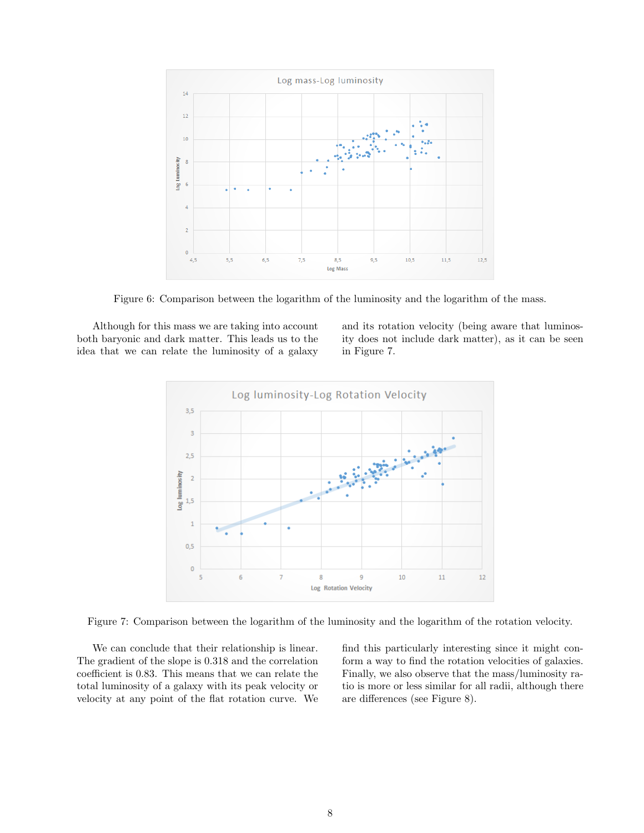

Figure 6: Comparison between the logarithm of the luminosity and the logarithm of the mass.

Although for this mass we are taking into account both baryonic and dark matter. This leads us to the idea that we can relate the luminosity of a galaxy and its rotation velocity (being aware that luminosity does not include dark matter), as it can be seen in Figure 7.



Figure 7: Comparison between the logarithm of the luminosity and the logarithm of the rotation velocity.

We can conclude that their relationship is linear. The gradient of the slope is 0.318 and the correlation coefficient is 0.83. This means that we can relate the total luminosity of a galaxy with its peak velocity or velocity at any point of the flat rotation curve. We find this particularly interesting since it might conform a way to find the rotation velocities of galaxies. Finally, we also observe that the mass/luminosity ratio is more or less similar for all radii, although there are differences (see Figure 8).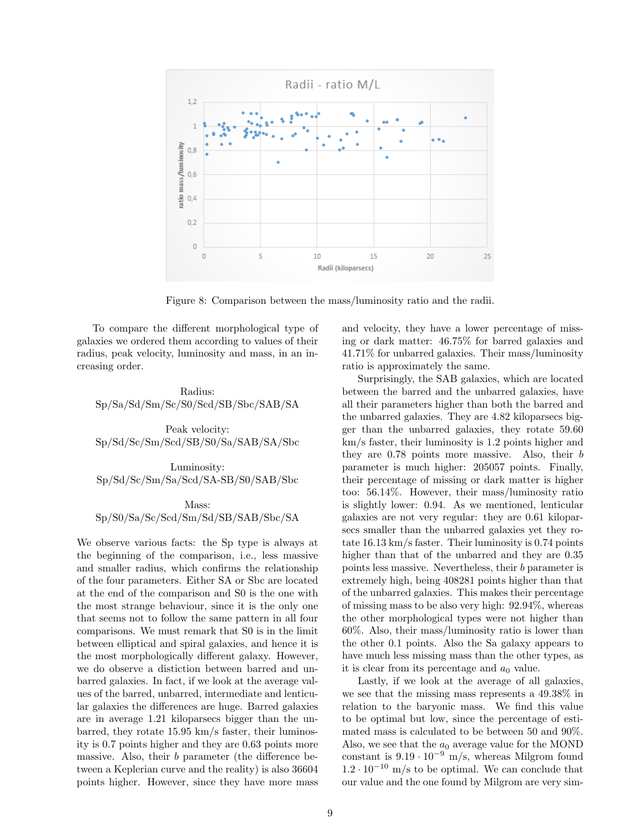

Figure 8: Comparison between the mass/luminosity ratio and the radii.

To compare the different morphological type of galaxies we ordered them according to values of their radius, peak velocity, luminosity and mass, in an increasing order.

Radius: Sp/Sa/Sd/Sm/Sc/S0/Scd/SB/Sbc/SAB/SA

Peak velocity: Sp/Sd/Sc/Sm/Scd/SB/S0/Sa/SAB/SA/Sbc

Luminosity: Sp/Sd/Sc/Sm/Sa/Scd/SA-SB/S0/SAB/Sbc

Mass: Sp/S0/Sa/Sc/Scd/Sm/Sd/SB/SAB/Sbc/SA

We observe various facts: the Sp type is always at the beginning of the comparison, i.e., less massive and smaller radius, which confirms the relationship of the four parameters. Either SA or Sbc are located at the end of the comparison and S0 is the one with the most strange behaviour, since it is the only one that seems not to follow the same pattern in all four comparisons. We must remark that S0 is in the limit between elliptical and spiral galaxies, and hence it is the most morphologically different galaxy. However, we do observe a distiction between barred and unbarred galaxies. In fact, if we look at the average values of the barred, unbarred, intermediate and lenticular galaxies the differences are huge. Barred galaxies are in average 1.21 kiloparsecs bigger than the unbarred, they rotate 15.95 km/s faster, their luminosity is 0.7 points higher and they are 0.63 points more massive. Also, their b parameter (the difference between a Keplerian curve and the reality) is also 36604 points higher. However, since they have more mass and velocity, they have a lower percentage of missing or dark matter: 46.75% for barred galaxies and 41.71% for unbarred galaxies. Their mass/luminosity ratio is approximately the same.

Surprisingly, the SAB galaxies, which are located between the barred and the unbarred galaxies, have all their parameters higher than both the barred and the unbarred galaxies. They are 4.82 kiloparsecs bigger than the unbarred galaxies, they rotate 59.60 km/s faster, their luminosity is 1.2 points higher and they are 0.78 points more massive. Also, their b parameter is much higher: 205057 points. Finally, their percentage of missing or dark matter is higher too: 56.14%. However, their mass/luminosity ratio is slightly lower: 0.94. As we mentioned, lenticular galaxies are not very regular: they are 0.61 kiloparsecs smaller than the unbarred galaxies yet they rotate 16.13 km/s faster. Their luminosity is 0.74 points higher than that of the unbarred and they are 0.35 points less massive. Nevertheless, their b parameter is extremely high, being 408281 points higher than that of the unbarred galaxies. This makes their percentage of missing mass to be also very high: 92.94%, whereas the other morphological types were not higher than 60%. Also, their mass/luminosity ratio is lower than the other 0.1 points. Also the Sa galaxy appears to have much less missing mass than the other types, as it is clear from its percentage and  $a_0$  value.

Lastly, if we look at the average of all galaxies, we see that the missing mass represents a 49.38% in relation to the baryonic mass. We find this value to be optimal but low, since the percentage of estimated mass is calculated to be between 50 and 90%. Also, we see that the  $a_0$  average value for the MOND constant is  $9.19 \cdot 10^{-9}$  m/s, whereas Milgrom found  $1.2 \cdot 10^{-10}$  m/s to be optimal. We can conclude that our value and the one found by Milgrom are very sim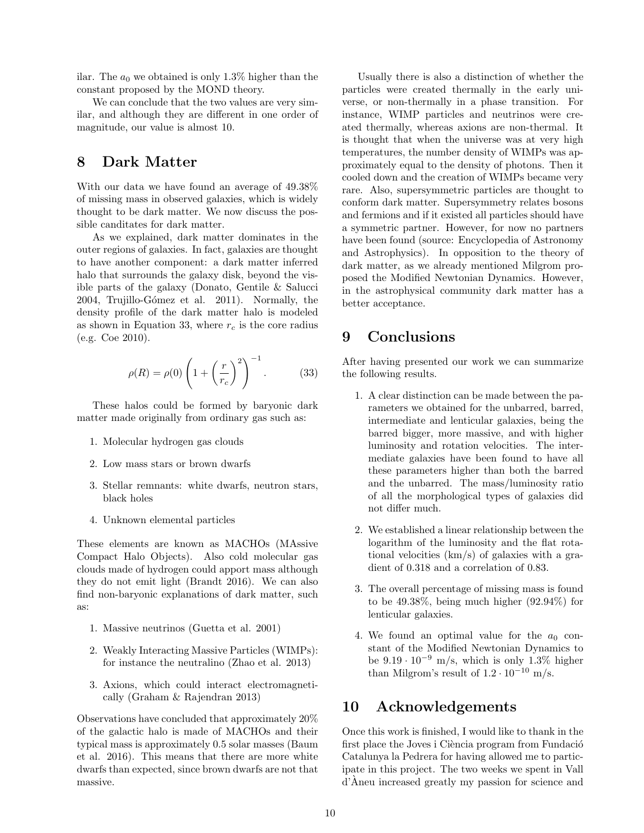ilar. The  $a_0$  we obtained is only 1.3% higher than the constant proposed by the MOND theory.

We can conclude that the two values are very similar, and although they are different in one order of magnitude, our value is almost 10.

### 8 Dark Matter

With our data we have found an average of 49.38% of missing mass in observed galaxies, which is widely thought to be dark matter. We now discuss the possible canditates for dark matter.

As we explained, dark matter dominates in the outer regions of galaxies. In fact, galaxies are thought to have another component: a dark matter inferred halo that surrounds the galaxy disk, beyond the visible parts of the galaxy (Donato, Gentile & Salucci 2004, Trujillo-Gómez et al. 2011). Normally, the density profile of the dark matter halo is modeled as shown in Equation 33, where  $r_c$  is the core radius (e.g. Coe 2010).

$$
\rho(R) = \rho(0) \left( 1 + \left(\frac{r}{r_c}\right)^2 \right)^{-1}.
$$
 (33)

These halos could be formed by baryonic dark matter made originally from ordinary gas such as:

- 1. Molecular hydrogen gas clouds
- 2. Low mass stars or brown dwarfs
- 3. Stellar remnants: white dwarfs, neutron stars, black holes
- 4. Unknown elemental particles

These elements are known as MACHOs (MAssive Compact Halo Objects). Also cold molecular gas clouds made of hydrogen could apport mass although they do not emit light (Brandt 2016). We can also find non-baryonic explanations of dark matter, such as:

- 1. Massive neutrinos (Guetta et al. 2001)
- 2. Weakly Interacting Massive Particles (WIMPs): for instance the neutralino (Zhao et al. 2013)
- 3. Axions, which could interact electromagnetically (Graham & Rajendran 2013)

Observations have concluded that approximately 20% of the galactic halo is made of MACHOs and their typical mass is approximately 0.5 solar masses (Baum et al. 2016). This means that there are more white dwarfs than expected, since brown dwarfs are not that massive.

Usually there is also a distinction of whether the particles were created thermally in the early universe, or non-thermally in a phase transition. For instance, WIMP particles and neutrinos were created thermally, whereas axions are non-thermal. It is thought that when the universe was at very high temperatures, the number density of WIMPs was approximately equal to the density of photons. Then it cooled down and the creation of WIMPs became very rare. Also, supersymmetric particles are thought to conform dark matter. Supersymmetry relates bosons and fermions and if it existed all particles should have a symmetric partner. However, for now no partners have been found (source: Encyclopedia of Astronomy and Astrophysics). In opposition to the theory of dark matter, as we already mentioned Milgrom proposed the Modified Newtonian Dynamics. However, in the astrophysical community dark matter has a better acceptance.

## 9 Conclusions

After having presented our work we can summarize the following results.

- 1. A clear distinction can be made between the parameters we obtained for the unbarred, barred, intermediate and lenticular galaxies, being the barred bigger, more massive, and with higher luminosity and rotation velocities. The intermediate galaxies have been found to have all these parameters higher than both the barred and the unbarred. The mass/luminosity ratio of all the morphological types of galaxies did not differ much.
- 2. We established a linear relationship between the logarithm of the luminosity and the flat rotational velocities (km/s) of galaxies with a gradient of 0.318 and a correlation of 0.83.
- 3. The overall percentage of missing mass is found to be 49.38%, being much higher (92.94%) for lenticular galaxies.
- 4. We found an optimal value for the  $a_0$  constant of the Modified Newtonian Dynamics to be  $9.19 \cdot 10^{-9}$  m/s, which is only 1.3% higher than Milgrom's result of  $1.2 \cdot 10^{-10}$  m/s.

### 10 Acknowledgements

Once this work is finished, I would like to thank in the first place the Joves i Ciència program from Fundació Catalunya la Pedrera for having allowed me to participate in this project. The two weeks we spent in Vall d'Aneu increased greatly my passion for science and `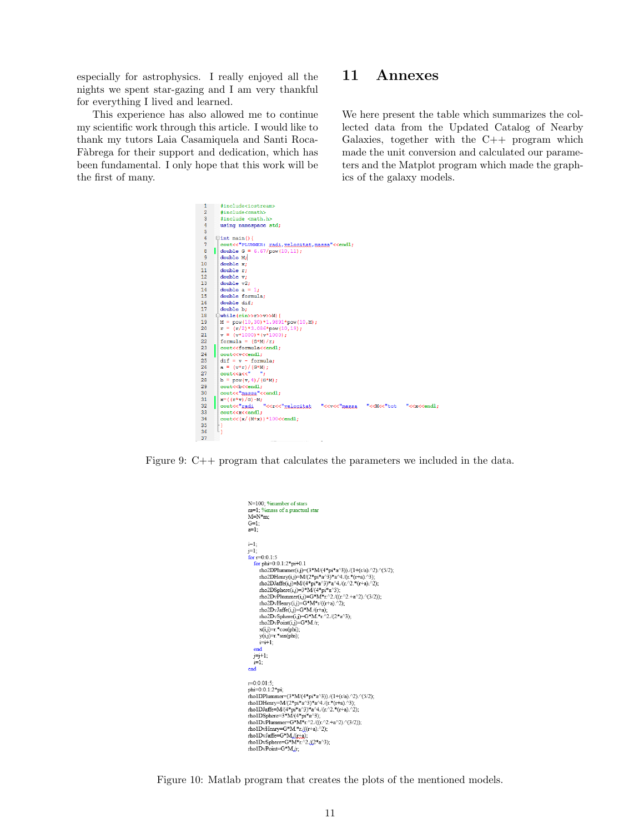especially for astrophysics. I really enjoyed all the nights we spent star-gazing and I am very thankful for everything I lived and learned.

This experience has also allowed me to continue my scientific work through this article. I would like to thank my tutors Laia Casamiquela and Santi Roca-Fàbrega for their support and dedication, which has been fundamental. I only hope that this work will be the first of many.

### 11 Annexes

We here present the table which summarizes the collected data from the Updated Catalog of Nearby Galaxies, together with the C++ program which made the unit conversion and calculated our parameters and the Matplot program which made the graphics of the galaxy models.



Figure 9: C++ program that calculates the parameters we included in the data.



Figure 10: Matlab program that creates the plots of the mentioned models.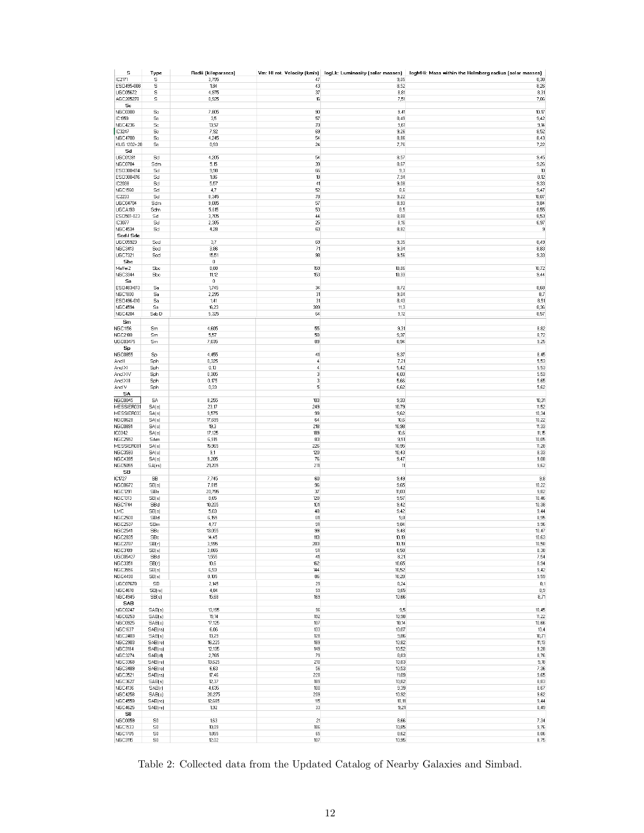| s                                | Type                   | Radii (kiloparsecs)  |               |               | Vm: HI rot. Velocity (km/s)   logLk: Luminosity (solar masses)   logMHi: Mass within the Holmberg radius (solar masses) |
|----------------------------------|------------------------|----------------------|---------------|---------------|-------------------------------------------------------------------------------------------------------------------------|
| IC2171                           | s                      | 3,795                | 47            | 9,05          | 8,38                                                                                                                    |
| ESO495-008                       | s                      | 1,84                 | 43            | 8,52          | 8,26                                                                                                                    |
| <b>UGC05672</b><br>AGC205278     | s<br>$\mathbb S$       | 4,975<br>0,925       | 37<br>16      | 8,81<br>7,51  | 8,31<br>7,06                                                                                                            |
| Sc                               |                        |                      |               |               |                                                                                                                         |
| NGC0300                          | Sc                     | 7,805                | 90            | 9,41          | 10,17                                                                                                                   |
| IC1959                           | Sc                     | 3,5                  | 57            | 8,49          | 9,42                                                                                                                    |
| <b>NGC4236</b>                   | $\mathbb{S}\mathrm{c}$ | 13,57                | 70            | 9,61          | 9,14                                                                                                                    |
| IC3247                           | Sc                     | 7,92                 | 69            | 9,26          | 8,52                                                                                                                    |
| <b>NGC4700</b>                   | Sc                     | 4,245                | 54            | 8,86          | 8,43                                                                                                                    |
| KUG 1202+28                      | Sc                     | 0,93                 | 24            | 7,76          | 7,22                                                                                                                    |
| Sd<br><b>UGC01281</b>            | Sd                     | 4,205                | 54            | 8,57          | 9,45                                                                                                                    |
| <b>NGC0784</b>                   | Sdm                    | 5,15                 | 39            | 8,67          | 9,26                                                                                                                    |
| ESD300-014                       | Sd                     | 9,98                 | 66            | 9,3           | 10                                                                                                                      |
| ESO300-016                       | Sd                     | 1,86                 | 18            | 7,94          | 8,12                                                                                                                    |
| IC2038                           | Sd                     | 5,57                 | 41            | 9,08          | 9,33                                                                                                                    |
| <b>NGC1560</b>                   | Sd                     | 4,7                  | 52            | 8,6           | 9,47                                                                                                                    |
| IC2233                           | Sd                     | 8,345                | 78            | 9,22          | 10,07                                                                                                                   |
| <b>UGC04704</b>                  | Sdm                    | 9,085                | 57            | 8,93          | 9,84                                                                                                                    |
| UGCA193<br>ESO501-023            | Sdm<br>Sd              | 5,615<br>3,705       | 53<br>44      | 8,5<br>8,88   | 8,55<br>8,53                                                                                                            |
| IC3077                           | Sd                     | 2,385                | 25            | 8,16          | 6,97                                                                                                                    |
| <b>NGC4534</b>                   | Sd                     | 4,28                 | 63            | 8,82          | 9                                                                                                                       |
| Scd / Sdc                        |                        |                      |               |               |                                                                                                                         |
| UGC05923                         | Sed                    | 3,7                  | 69            | 9,35          | 8,49                                                                                                                    |
| <b>NGC3413</b>                   | Scd                    | 3,86                 | 71            | 9,34          | 8,83                                                                                                                    |
| <b>UGC7321</b>                   | Sed                    | 15,51                | 98            | 9,56          | 9,33                                                                                                                    |
| Sbc                              |                        | $\,0\,$              |               |               |                                                                                                                         |
| Maffei2                          | Sbc                    | 8,88                 | 159           | 10,86         | 10,72                                                                                                                   |
| <b>NGC3344</b><br>Sa             | Sbc                    | 11,12<br>$\mathbb O$ | 153           | 10,33         | 9,44                                                                                                                    |
| ESO483-013                       | Sa                     | 1,745                | 34            | 8,72          | 8,68                                                                                                                    |
| <b>NGC1800</b>                   | Sa                     | 2,295                | 31            | 9,04          | 8,7                                                                                                                     |
| ESO496-010                       | Sa                     | 1,41                 | 31            | 8,43          | 8,51                                                                                                                    |
| <b>NGC4594</b>                   | Sa                     | 16,23                | 389           | 11,3          | 8,36                                                                                                                    |
| <b>NGC4204</b>                   | Sab D                  | 5,325                | 64            | 9,12          | 8,57                                                                                                                    |
| Sm                               |                        |                      |               |               |                                                                                                                         |
| <b>NGC1156</b>                   | Sm                     | 4,605                | 55            | 9,31          | 8,82                                                                                                                    |
| <b>NGC2188</b>                   | Sm                     | 5,57                 | 50            | 9,37          | 8,72                                                                                                                    |
| <b>UGC03475</b>                  | Sm                     | 7,035                | 89            | 8,94          | 9,25                                                                                                                    |
| Sp<br><b>NGC0855</b>             |                        | 4,455                | 41            | 9,37          | 8,45                                                                                                                    |
| And I                            | Sp<br>Sph              | 0,325                | $\frac{4}{3}$ | 7,21          | 5,53                                                                                                                    |
| And XI                           | Sph                    | 0,13                 | $\sqrt{4}$    | 5,42          | 5,53                                                                                                                    |
| And XIV                          | Sph                    | 0,305                | 3             | 6,03          | 5,53                                                                                                                    |
| And XIII                         | Sph                    | 0,175                | 3             | 5,66          | 5,65                                                                                                                    |
| And V                            | Sph                    | 0,33                 | 5             | 6,62          | 5,62                                                                                                                    |
| SA                               |                        |                      |               |               |                                                                                                                         |
| <b>NGC0045</b>                   | SA                     | 8,255                | 103           | 9,33          | 10,31                                                                                                                   |
| MESSIER031                       | SA(s)                  | 23,17                | 249           | 10,79         | 11,52                                                                                                                   |
| MESSIER033                       | SA(s)                  | 9,575                | 99<br>64      | 9,62<br>10,6  | 10,34<br>10,22                                                                                                          |
| <b>NGC0628</b><br><b>NGC0891</b> | SA(s)<br>SA(s)         | 17,695<br>19,3       | 218           | 10,98         | 11,33                                                                                                                   |
| IC0342                           | SA(s)                  | 17,125               | 189           | 10,6          | 11,15                                                                                                                   |
| <b>NGC2552</b>                   | SAm                    | 6,915                | 83            | 9,51          | 10,05                                                                                                                   |
| MESSIER081                       | SA(s)                  | 15,965               | 226           | 10,95         | 11,28                                                                                                                   |
| <b>NGC3593</b>                   | SA(s)                  | 9,1                  | 120           | 10,43         | 8,33                                                                                                                    |
| <b>NGC4395</b>                   | SA(s)                  | 9,205                | 76            | 9,47          | 9,08                                                                                                                    |
| <b>NGC5055</b>                   | SA(rs)                 | 21,205               | 211           | 11            | 9,62                                                                                                                    |
| SB<br>IC1727                     | <b>SB</b>              | 7,745                | 60            | 9,49          | 9,8                                                                                                                     |
| <b>NGC0672</b>                   | SE(s)                  | 7,815                | 96            | 9,65          | 10,22                                                                                                                   |
| <b>NGC1291</b>                   | SBa                    | 20,795               | 37            | 11,03         | 9,82                                                                                                                    |
| <b>NGC1313</b>                   | SE(s)                  | 8,65                 | 120           | 9,57          | 10,46                                                                                                                   |
| <b>NGC1744</b>                   | SBd                    | 10,205               | 101           | 9,42          | 10,38                                                                                                                   |
| <b>LMC</b>                       | SB(s)                  | 5,03                 | 48            | 9,42          | 9,44                                                                                                                    |
| NGC2500                          | SBd                    | 6,155                | 81            | 9,8           | 8,95                                                                                                                    |
| <b>NGC2537</b>                   | SBm                    | 4,77                 | 91            | 9,84          | 9,96                                                                                                                    |
| <b>NGC2541</b><br><b>NGC2835</b> | SBc<br>SBc             | 13,055<br>14,45      | 99<br>113     | 9,48<br>10,19 | 10,47<br>10,63                                                                                                          |
| <b>NGC2787</b>                   | SE(r)                  | 3,995                | 203           | 10,19         | 10,58                                                                                                                   |
| NGC3109                          | SB(s)                  | 3,865                | 51            | 8,58          | 8,38                                                                                                                    |
| <b>UGC05427</b>                  | SBd                    | 1,555                | 41            | 8,21          | 7,54                                                                                                                    |
| <b>NGC3351</b>                   | SB(r)                  | 10,6                 | 162           | 10,65         | 8,94                                                                                                                    |
| <b>NGC3556</b>                   | SE(s)                  | 6,93                 | 144           | 10,52         | 9,42                                                                                                                    |
| <b>NGC4490</b>                   | SE(s)                  | 8,105                | 86            | 10,28         | 9,59                                                                                                                    |
| <b>UGC07678</b>                  | SB                     | 2,145                | 29            | 8,24          | 8,1                                                                                                                     |
| <b>NGC4618</b>                   | SB(rs)                 | 4,84                 | 59            | 9,65          | 8,9                                                                                                                     |
| <b>NGC4945</b><br>SAB            | SB(s)                  | 15,68                | 169           | 10,66         | 8,71                                                                                                                    |
| NGC0247                          | SAB(s)                 | 13,195               | 96            | 9,5           | 10,45                                                                                                                   |
| <b>NGC0253</b>                   | SAB(s)                 | 19,14                | 192           | 10,98         | 11,22                                                                                                                   |
| NGC0925                          | SAB(s)                 | 17,125               | 107           | 10,14         | 10,66                                                                                                                   |
| <b>NGC1637</b>                   | SAB(rs)                | 6,06                 | 133           | 10,07         | 10,4                                                                                                                    |
| <b>NGC2403</b>                   | SAB(s)                 | 13,29                | 128           | 9,86          | 10,71                                                                                                                   |
| <b>NGC2903</b>                   | SAB(rs)                | 16,225               | 189           | 10,82         | 11,13                                                                                                                   |
| NGC3184                          | SAB(rs)                | 12,135               | 149           | 10,52         | 9,28                                                                                                                    |
| <b>NGC3274</b><br><b>NGC3368</b> | SAB(d)<br>SAB(rs)      | 2,765<br>13,625      | 79<br>210     | 8,83<br>10,83 | 8,76<br>9,18                                                                                                            |
| <b>NGC3489</b>                   | SAB(rs)                | 6,63                 | 56            | 10,53         | 7,36                                                                                                                    |
| <b>NGC3521</b>                   | SAB(rs)                | 17,46                | 228           | 11,09         | 9,65                                                                                                                    |
| <b>NGC3627</b>                   | SAB(s)                 | 12,37                | 189           | 10,82         | 8,83                                                                                                                    |
| <b>NGC4136</b>                   | SAB(r)                 | 4,635                | 100           | 9,39          | 8,67                                                                                                                    |
| <b>NGC4258</b>                   | SAB(s)                 | 20,275               | 209           | 10,92         | 9,62                                                                                                                    |
| <b>NGC4559</b>                   | SAB(rc)                | 12,685               | 115           | 10,11         | 9,44                                                                                                                    |
| <b>NGC4625</b>                   | SAB(rs)                | 1,92                 | 33            | 9,21          | 8,49                                                                                                                    |
| S0                               |                        |                      |               |               |                                                                                                                         |
| <b>NGC0059</b><br><b>NGC1533</b> | $\mathbb{S}0$          | 1,63                 | 21<br>186     | 8,66<br>10,85 | 7,34                                                                                                                    |
| <b>NGC1705</b>                   | S0<br>$\mathbb{S}0$    | 10,09<br>1,855       | 65            | 8,62          | 9,76<br>8,06                                                                                                            |
| <b>NGC3115</b>                   | $\mathbb{S}0$          | 12,02                | 107           | 10,95         | 8,75                                                                                                                    |
|                                  |                        |                      |               |               |                                                                                                                         |

Table 2: Collected data from the Updated Catalog of Nearby Galaxies and Simbad.